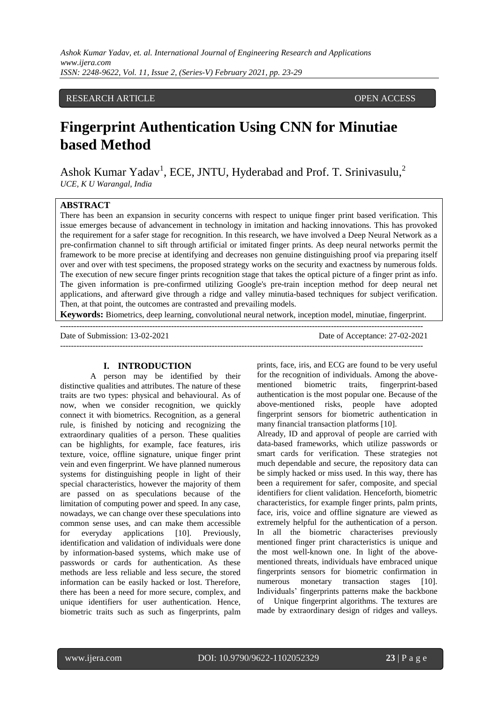# RESEARCH ARTICLE **OPEN ACCESS**

# **Fingerprint Authentication Using CNN for Minutiae based Method**

Ashok Kumar Yadav<sup>1</sup>, ECE, JNTU, Hyderabad and Prof. T. Srinivasulu,<sup>2</sup> *UCE, K U Warangal, India*

# **ABSTRACT**

There has been an expansion in security concerns with respect to unique finger print based verification. This issue emerges because of advancement in technology in imitation and hacking innovations. This has provoked the requirement for a safer stage for recognition. In this research, we have involved a Deep Neural Network as a pre-confirmation channel to sift through artificial or imitated finger prints. As deep neural networks permit the framework to be more precise at identifying and decreases non genuine distinguishing proof via preparing itself over and over with test specimens, the proposed strategy works on the security and exactness by numerous folds. The execution of new secure finger prints recognition stage that takes the optical picture of a finger print as info. The given information is pre-confirmed utilizing Google's pre-train inception method for deep neural net applications, and afterward give through a ridge and valley minutia-based techniques for subject verification. Then, at that point, the outcomes are contrasted and prevailing models.

**Keywords:** Biometrics, deep learning, convolutional neural network, inception model, minutiae, fingerprint.

--------------------------------------------------------------------------------------------------------------------------------------

Date of Submission: 13-02-2021 Date of Acceptance: 27-02-2021 --------------------------------------------------------------------------------------------------------------------------------------

#### **I. INTRODUCTION**

A person may be identified by their distinctive qualities and attributes. The nature of these traits are two types: physical and behavioural. As of now, when we consider recognition, we quickly connect it with biometrics. Recognition, as a general rule, is finished by noticing and recognizing the extraordinary qualities of a person. These qualities can be highlights, for example, face features, iris texture, voice, offline signature, unique finger print vein and even fingerprint. We have planned numerous systems for distinguishing people in light of their special characteristics, however the majority of them are passed on as speculations because of the limitation of computing power and speed. In any case, nowadays, we can change over these speculations into common sense uses, and can make them accessible for everyday applications [10]. Previously, identification and validation of individuals were done by information-based systems, which make use of passwords or cards for authentication. As these methods are less reliable and less secure, the stored information can be easily hacked or lost. Therefore, there has been a need for more secure, complex, and unique identifiers for user authentication. Hence, biometric traits such as such as fingerprints, palm prints, face, iris, and ECG are found to be very useful for the recognition of individuals. Among the abovementioned biometric traits, fingerprint-based authentication is the most popular one. Because of the above-mentioned risks, people have adopted fingerprint sensors for biometric authentication in many financial transaction platforms [10].

Already, ID and approval of people are carried with data-based frameworks, which utilize passwords or smart cards for verification. These strategies not much dependable and secure, the repository data can be simply hacked or miss used. In this way, there has been a requirement for safer, composite, and special identifiers for client validation. Henceforth, biometric characteristics, for example finger prints, palm prints, face, iris, voice and offline signature are viewed as extremely helpful for the authentication of a person. In all the biometric characterises previously mentioned finger print characteristics is unique and the most well-known one. In light of the abovementioned threats, individuals have embraced unique fingerprints sensors for biometric confirmation in numerous monetary transaction stages [10]. Individuals' fingerprints patterns make the backbone of Unique fingerprint algorithms. The textures are made by extraordinary design of ridges and valleys.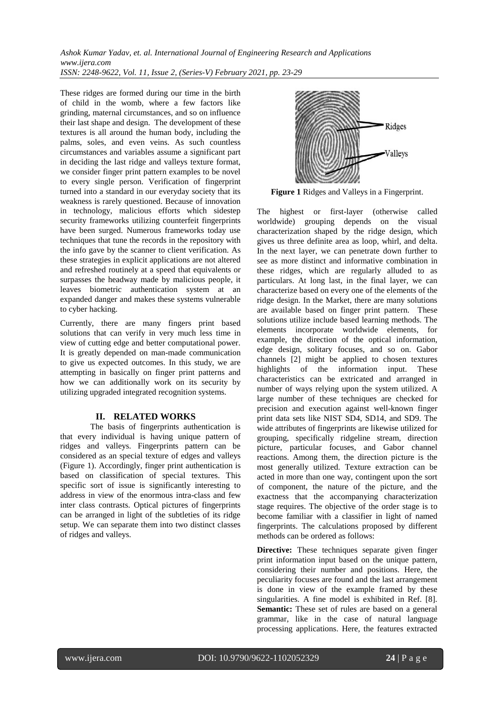*Ashok Kumar Yadav, et. al. International Journal of Engineering Research and Applications www.ijera.com*

*ISSN: 2248-9622, Vol. 11, Issue 2, (Series-V) February 2021, pp. 23-29*

These ridges are formed during our time in the birth of child in the womb, where a few factors like grinding, maternal circumstances, and so on influence their last shape and design. The development of these textures is all around the human body, including the palms, soles, and even veins. As such countless circumstances and variables assume a significant part in deciding the last ridge and valleys texture format, we consider finger print pattern examples to be novel to every single person. Verification of fingerprint turned into a standard in our everyday society that its weakness is rarely questioned. Because of innovation in technology, malicious efforts which sidestep security frameworks utilizing counterfeit fingerprints have been surged. Numerous frameworks today use techniques that tune the records in the repository with the info gave by the scanner to client verification. As these strategies in explicit applications are not altered and refreshed routinely at a speed that equivalents or surpasses the headway made by malicious people, it leaves biometric authentication system at an expanded danger and makes these systems vulnerable to cyber hacking.

Currently, there are many fingers print based solutions that can verify in very much less time in view of cutting edge and better computational power. It is greatly depended on man-made communication to give us expected outcomes. In this study, we are attempting in basically on finger print patterns and how we can additionally work on its security by utilizing upgraded integrated recognition systems.

# **II. RELATED WORKS**

The basis of fingerprints authentication is that every individual is having unique pattern of ridges and valleys. Fingerprints pattern can be considered as an special texture of edges and valleys (Figure 1). Accordingly, finger print authentication is based on classification of special textures. This specific sort of issue is significantly interesting to address in view of the enormous intra-class and few inter class contrasts. Optical pictures of fingerprints can be arranged in light of the subtleties of its ridge setup. We can separate them into two distinct classes of ridges and valleys.



**Figure 1** Ridges and Valleys in a Fingerprint.

The highest or first-layer (otherwise called worldwide) grouping depends on the visual characterization shaped by the ridge design, which gives us three definite area as loop, whirl, and delta. In the next layer, we can penetrate down further to see as more distinct and informative combination in these ridges, which are regularly alluded to as particulars. At long last, in the final layer, we can characterize based on every one of the elements of the ridge design. In the Market, there are many solutions are available based on finger print pattern. These solutions utilize include based learning methods. The elements incorporate worldwide elements, for example, the direction of the optical information, edge design, solitary focuses, and so on. Gabor channels [2] might be applied to chosen textures highlights of the information input. These characteristics can be extricated and arranged in number of ways relying upon the system utilized. A large number of these techniques are checked for precision and execution against well-known finger print data sets like NIST SD4, SD14, and SD9. The wide attributes of fingerprints are likewise utilized for grouping, specifically ridgeline stream, direction picture, particular focuses, and Gabor channel reactions. Among them, the direction picture is the most generally utilized. Texture extraction can be acted in more than one way, contingent upon the sort of component, the nature of the picture, and the exactness that the accompanying characterization stage requires. The objective of the order stage is to become familiar with a classifier in light of named fingerprints. The calculations proposed by different methods can be ordered as follows:

**Directive:** These techniques separate given finger print information input based on the unique pattern, considering their number and positions. Here, the peculiarity focuses are found and the last arrangement is done in view of the example framed by these singularities. A fine model is exhibited in Ref. [8]. **Semantic:** These set of rules are based on a general grammar, like in the case of natural language processing applications. Here, the features extracted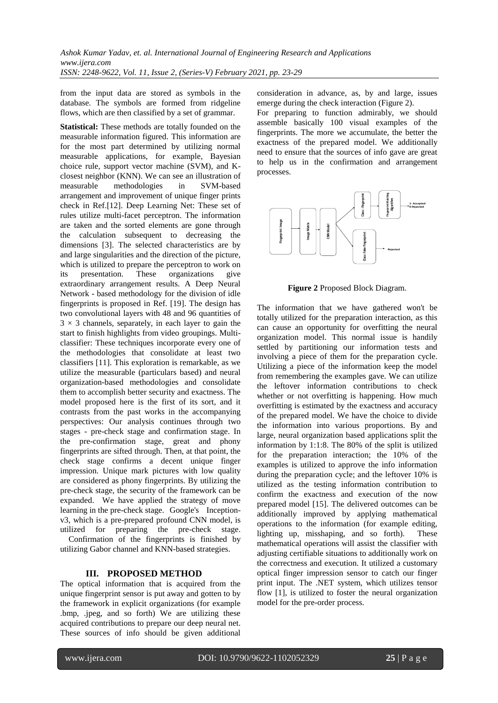from the input data are stored as symbols in the database. The symbols are formed from ridgeline flows, which are then classified by a set of grammar.

**Statistical:** These methods are totally founded on the measurable information figured. This information are for the most part determined by utilizing normal measurable applications, for example, Bayesian choice rule, support vector machine (SVM), and Kclosest neighbor (KNN). We can see an illustration of measurable methodologies in SVM-based arrangement and improvement of unique finger prints check in Ref.[12]. Deep Learning Net: These set of rules utilize multi-facet perceptron. The information are taken and the sorted elements are gone through the calculation subsequent to decreasing the dimensions [3]. The selected characteristics are by and large singularities and the direction of the picture, which is utilized to prepare the perceptron to work on its presentation. These organizations give extraordinary arrangement results. A Deep Neural Network - based methodology for the division of idle fingerprints is proposed in Ref. [19]. The design has two convolutional layers with 48 and 96 quantities of  $3 \times 3$  channels, separately, in each layer to gain the start to finish highlights from video groupings. Multiclassifier: These techniques incorporate every one of the methodologies that consolidate at least two classifiers [11]. This exploration is remarkable, as we utilize the measurable (particulars based) and neural organization-based methodologies and consolidate them to accomplish better security and exactness. The model proposed here is the first of its sort, and it contrasts from the past works in the accompanying perspectives: Our analysis continues through two stages - pre-check stage and confirmation stage. In the pre-confirmation stage, great and phony fingerprints are sifted through. Then, at that point, the check stage confirms a decent unique finger impression. Unique mark pictures with low quality are considered as phony fingerprints. By utilizing the pre-check stage, the security of the framework can be expanded. We have applied the strategy of move learning in the pre-check stage. Google's Inceptionv3, which is a pre-prepared profound CNN model, is utilized for preparing the pre-check stage. Confirmation of the fingerprints is finished by

utilizing Gabor channel and KNN-based strategies.

# **III. PROPOSED METHOD**

The optical information that is acquired from the unique fingerprint sensor is put away and gotten to by the framework in explicit organizations (for example .bmp, .jpeg, and so forth) We are utilizing these acquired contributions to prepare our deep neural net. These sources of info should be given additional

consideration in advance, as, by and large, issues emerge during the check interaction (Figure 2).

For preparing to function admirably, we should assemble basically 100 visual examples of the fingerprints. The more we accumulate, the better the exactness of the prepared model. We additionally need to ensure that the sources of info gave are great to help us in the confirmation and arrangement processes.



**Figure 2** Proposed Block Diagram.

The information that we have gathered won't be totally utilized for the preparation interaction, as this can cause an opportunity for overfitting the neural organization model. This normal issue is handily settled by partitioning our information tests and involving a piece of them for the preparation cycle. Utilizing a piece of the information keep the model from remembering the examples gave. We can utilize the leftover information contributions to check whether or not overfitting is happening. How much overfitting is estimated by the exactness and accuracy of the prepared model. We have the choice to divide the information into various proportions. By and large, neural organization based applications split the information by 1:1:8. The 80% of the split is utilized for the preparation interaction; the 10% of the examples is utilized to approve the info information during the preparation cycle; and the leftover 10% is utilized as the testing information contribution to confirm the exactness and execution of the now prepared model [15]. The delivered outcomes can be additionally improved by applying mathematical operations to the information (for example editing, lighting up, misshaping, and so forth). These mathematical operations will assist the classifier with adjusting certifiable situations to additionally work on the correctness and execution. It utilized a customary optical finger impression sensor to catch our finger print input. The .NET system, which utilizes tensor flow [1], is utilized to foster the neural organization model for the pre-order process.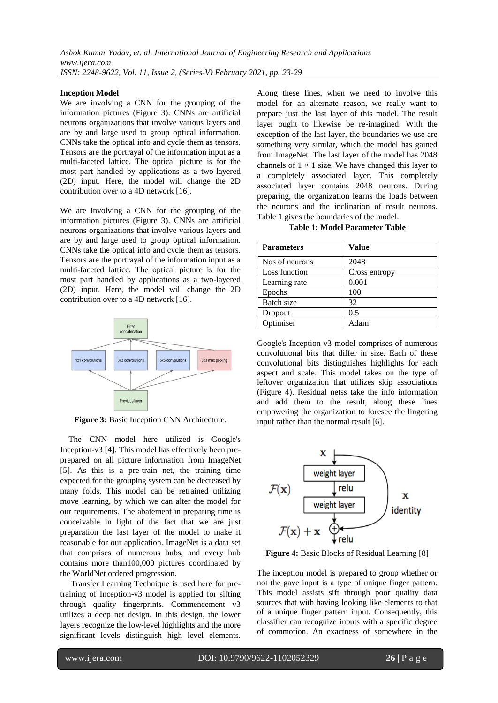#### **Inception Model**

We are involving a CNN for the grouping of the information pictures (Figure 3). CNNs are artificial neurons organizations that involve various layers and are by and large used to group optical information. CNNs take the optical info and cycle them as tensors. Tensors are the portrayal of the information input as a multi-faceted lattice. The optical picture is for the most part handled by applications as a two-layered (2D) input. Here, the model will change the 2D contribution over to a 4D network [16].

We are involving a CNN for the grouping of the information pictures (Figure 3). CNNs are artificial neurons organizations that involve various layers and are by and large used to group optical information. CNNs take the optical info and cycle them as tensors. Tensors are the portrayal of the information input as a multi-faceted lattice. The optical picture is for the most part handled by applications as a two-layered (2D) input. Here, the model will change the 2D contribution over to a 4D network [16].



**Figure 3:** Basic Inception CNN Architecture.

The CNN model here utilized is Google's Inception-v3 [4]. This model has effectively been preprepared on all picture information from ImageNet [5]. As this is a pre-train net, the training time expected for the grouping system can be decreased by many folds. This model can be retrained utilizing move learning, by which we can alter the model for our requirements. The abatement in preparing time is conceivable in light of the fact that we are just preparation the last layer of the model to make it reasonable for our application. ImageNet is a data set that comprises of numerous hubs, and every hub contains more than100,000 pictures coordinated by the WorldNet ordered progression.

Transfer Learning Technique is used here for pretraining of Inception-v3 model is applied for sifting through quality fingerprints. Commencement v3 utilizes a deep net design. In this design, the lower layers recognize the low-level highlights and the more significant levels distinguish high level elements. Along these lines, when we need to involve this model for an alternate reason, we really want to prepare just the last layer of this model. The result layer ought to likewise be re-imagined. With the exception of the last layer, the boundaries we use are something very similar, which the model has gained from ImageNet. The last layer of the model has 2048 channels of  $1 \times 1$  size. We have changed this layer to a completely associated layer. This completely associated layer contains 2048 neurons. During preparing, the organization learns the loads between the neurons and the inclination of result neurons. Table 1 gives the boundaries of the model.

**Table 1: Model Parameter Table**

| <b>Parameters</b> | <b>Value</b>  |
|-------------------|---------------|
| Nos of neurons    | 2048          |
| Loss function     | Cross entropy |
| Learning rate     | 0.001         |
| Epochs            | 100           |
| Batch size        | 32            |
| Dropout           | 0.5           |
| Optimiser         | Adam          |

Google's Inception-v3 model comprises of numerous convolutional bits that differ in size. Each of these convolutional bits distinguishes highlights for each aspect and scale. This model takes on the type of leftover organization that utilizes skip associations (Figure 4). Residual netss take the info information and add them to the result, along these lines empowering the organization to foresee the lingering input rather than the normal result [6].

х weight laver  $\mathcal{F}(\mathbf{x})$ relu x weight layer identity  $\mathcal{F}(\mathbf{x}) + \mathbf{x}$ 

**Figure 4:** Basic Blocks of Residual Learning [8]

The inception model is prepared to group whether or not the gave input is a type of unique finger pattern. This model assists sift through poor quality data sources that with having looking like elements to that of a unique finger pattern input. Consequently, this classifier can recognize inputs with a specific degree of commotion. An exactness of somewhere in the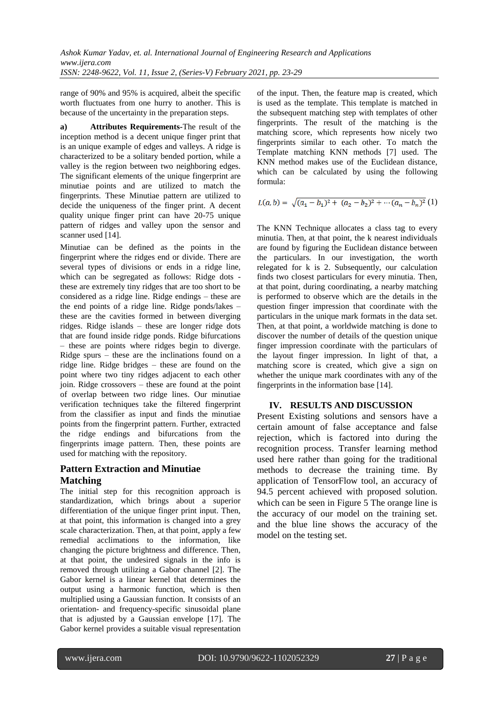range of 90% and 95% is acquired, albeit the specific worth fluctuates from one hurry to another. This is because of the uncertainty in the preparation steps.

**a) Attributes Requirements-**The result of the inception method is a decent unique finger print that is an unique example of edges and valleys. A ridge is characterized to be a solitary bended portion, while a valley is the region between two neighboring edges. The significant elements of the unique fingerprint are minutiae points and are utilized to match the fingerprints. These Minutiae pattern are utilized to decide the uniqueness of the finger print. A decent quality unique finger print can have 20-75 unique pattern of ridges and valley upon the sensor and scanner used [14].

Minutiae can be defined as the points in the fingerprint where the ridges end or divide. There are several types of divisions or ends in a ridge line, which can be segregated as follows: Ridge dots these are extremely tiny ridges that are too short to be considered as a ridge line. Ridge endings – these are the end points of a ridge line. Ridge ponds/lakes – these are the cavities formed in between diverging ridges. Ridge islands – these are longer ridge dots that are found inside ridge ponds. Ridge bifurcations – these are points where ridges begin to diverge. Ridge spurs – these are the inclinations found on a ridge line. Ridge bridges – these are found on the point where two tiny ridges adjacent to each other join. Ridge crossovers – these are found at the point of overlap between two ridge lines. Our minutiae verification techniques take the filtered fingerprint from the classifier as input and finds the minutiae points from the fingerprint pattern. Further, extracted the ridge endings and bifurcations from the fingerprints image pattern. Then, these points are used for matching with the repository.

# **Pattern Extraction and Minutiae Matching**

The initial step for this recognition approach is standardization, which brings about a superior differentiation of the unique finger print input. Then, at that point, this information is changed into a grey scale characterization. Then, at that point, apply a few remedial acclimations to the information, like changing the picture brightness and difference. Then, at that point, the undesired signals in the info is removed through utilizing a Gabor channel [2]. The Gabor kernel is a linear kernel that determines the output using a harmonic function, which is then multiplied using a Gaussian function. It consists of an orientation- and frequency-specific sinusoidal plane that is adjusted by a Gaussian envelope [17]. The Gabor kernel provides a suitable visual representation of the input. Then, the feature map is created, which is used as the template. This template is matched in the subsequent matching step with templates of other fingerprints. The result of the matching is the matching score, which represents how nicely two fingerprints similar to each other. To match the Template matching KNN methods [7] used. The KNN method makes use of the Euclidean distance, which can be calculated by using the following formula:

$$
L(a,b) = \sqrt{(a_1 - b_1)^2 + (a_2 - b_2)^2 + \cdots + (a_n - b_n)^2}
$$
 (1)

The KNN Technique allocates a class tag to every minutia. Then, at that point, the k nearest individuals are found by figuring the Euclidean distance between the particulars. In our investigation, the worth relegated for k is 2. Subsequently, our calculation finds two closest particulars for every minutia. Then, at that point, during coordinating, a nearby matching is performed to observe which are the details in the question finger impression that coordinate with the particulars in the unique mark formats in the data set. Then, at that point, a worldwide matching is done to discover the number of details of the question unique finger impression coordinate with the particulars of the layout finger impression. In light of that, a matching score is created, which give a sign on whether the unique mark coordinates with any of the fingerprints in the information base [14].

# **IV. RESULTS AND DISCUSSION**

Present Existing solutions and sensors have a certain amount of false acceptance and false rejection, which is factored into during the recognition process. Transfer learning method used here rather than going for the traditional methods to decrease the training time. By application of TensorFlow tool, an accuracy of 94.5 percent achieved with proposed solution. which can be seen in Figure 5 The orange line is the accuracy of our model on the training set. and the blue line shows the accuracy of the model on the testing set.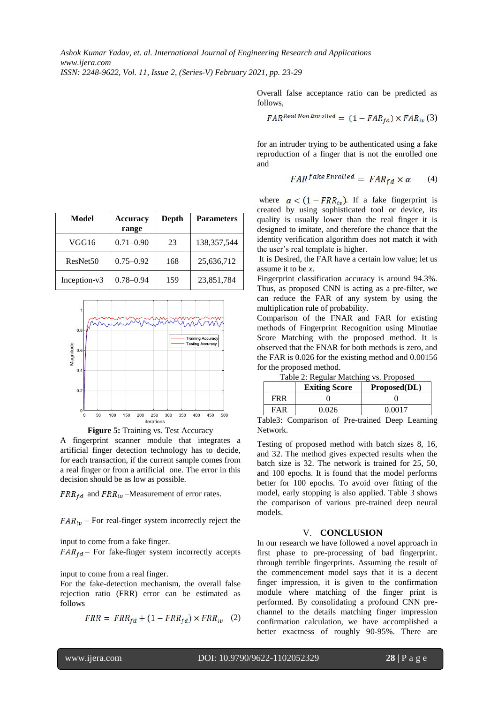Overall false acceptance ratio can be predicted as follows,

$$
FAR^{Real\,Non\,Enrolled} = (1 - FAR_{fd}) \times FAR_{iv}(3)
$$

for an intruder trying to be authenticated using a fake reproduction of a finger that is not the enrolled one and

$$
FAR^{fake\,Enrolled} = FAR_{fd} \times \alpha \qquad (4)
$$

where  $\alpha < (1 - FRR_{iv})$ . If a fake fingerprint is created by using sophisticated tool or device, its quality is usually lower than the real finger it is designed to imitate, and therefore the chance that the identity verification algorithm does not match it with the user's real template is higher.

It is Desired, the FAR have a certain low value; let us assume it to be *x*.

Fingerprint classification accuracy is around 94.3%. Thus, as proposed CNN is acting as a pre-filter, we can reduce the FAR of any system by using the multiplication rule of probability.

Comparison of the FNAR and FAR for existing methods of Fingerprint Recognition using Minutiae Score Matching with the proposed method. It is observed that the FNAR for both methods is zero, and the FAR is 0.026 for the existing method and 0.00156 for the proposed method.

| Table 2: Regular Matching vs. Proposed |  |  |  |  |
|----------------------------------------|--|--|--|--|
|----------------------------------------|--|--|--|--|

|            | <b>Exiting Score</b> | Proposed(DL) |  |
|------------|----------------------|--------------|--|
| <b>FRR</b> |                      |              |  |
| FAR        | በ በን6                | በ በበ17       |  |
| - - - - -  |                      |              |  |

Table3: Comparison of Pre-trained Deep Learning Network.

Testing of proposed method with batch sizes 8, 16, and 32. The method gives expected results when the batch size is 32. The network is trained for 25, 50, and 100 epochs. It is found that the model performs better for 100 epochs. To avoid over fitting of the model, early stopping is also applied. Table 3 shows the comparison of various pre-trained deep neural models.

#### V. **CONCLUSION**

In our research we have followed a novel approach in first phase to pre-processing of bad fingerprint. through terrible fingerprints. Assuming the result of the commencement model says that it is a decent finger impression, it is given to the confirmation module where matching of the finger print is performed. By consolidating a profound CNN prechannel to the details matching finger impression confirmation calculation, we have accomplished a better exactness of roughly 90-95%. There are

| Model                | <b>Accuracy</b><br>range | Depth | <b>Parameters</b> |
|----------------------|--------------------------|-------|-------------------|
| VGG16                | $0.71 - 0.90$            | 23    | 138, 357, 544     |
| ResNet <sub>50</sub> | $0.75 - 0.92$            | 168   | 25,636,712        |
| Inception-v3         | $0.78 - 0.94$            | 159   | 23,851,784        |



**Figure 5:** Training vs. Test Accuracy

A fingerprint scanner module that integrates a artificial finger detection technology has to decide, for each transaction, if the current sample comes from a real finger or from a artificial one. The error in this decision should be as low as possible.

 $FRR_{fd}$  and  $FRR_{iv}$  –Measurement of error rates.

 $FAR_{iv}$  – For real-finger system incorrectly reject the

input to come from a fake finger.

 $FAR_{fd}$  – For fake-finger system incorrectly accepts

input to come from a real finger.

For the fake-detection mechanism, the overall false rejection ratio (FRR) error can be estimated as follows

$$
FRR = FRR_{fd} + (1 - FRR_{fd}) \times FRR_{iv} \quad (2)
$$